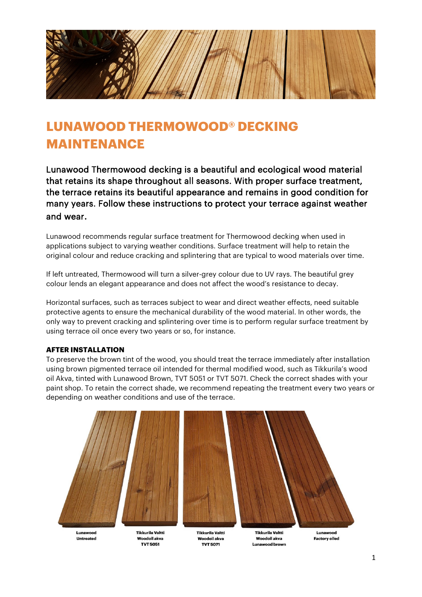

# **LUNAWOOD THERMOWOOD® DECKING MAINTENANCE**

[Lunawood Thermowood decking](https://lunawood.com/fi/product-category/lampokasitelty-terassilauta/) is a beautiful and ecological wood material that retains its shape throughout all seasons. With proper surface treatment, the terrace retains its beautiful appearance and remains in good condition for many years. Follow these instructions to protect your terrace against weather and wear.

Lunawood recommends regular surface treatment for Thermowood decking when used in applications subject to varying weather conditions. Surface treatment will help to retain the original colour and reduce cracking and splintering that are typical to wood materials over time.

If left untreated, Thermowood will turn a silver-grey colour due to UV rays. The beautiful grey colour lends an elegant appearance and does not affect the wood's resistance to decay.

Horizontal surfaces, such as terraces subject to wear and direct weather effects, need suitable protective agents to ensure the mechanical durability of the wood material. In other words, the only way to prevent cracking and splintering over time is to perform regular surface treatment by using terrace oil once every two years or so, for instance.

## **AFTER INSTALLATION**

To preserve the brown tint of the wood, you should treat the terrace immediately after installation using brown pigmented terrace oil intended for thermal modified wood, such as Tikkurila's wood oil Akva, tinted with Lunawood Brown, TVT 5051 or TVT 5071. Check the correct shades with your paint shop. To retain the correct shade, we recommend repeating the treatment every two years or depending on weather conditions and use of the terrace.



Untreated

Woodoil akva **TVT 5051** 

Woodoil akva **TVT 5071** 

Woodoil akva Lunawood brown

**Factory oiled**